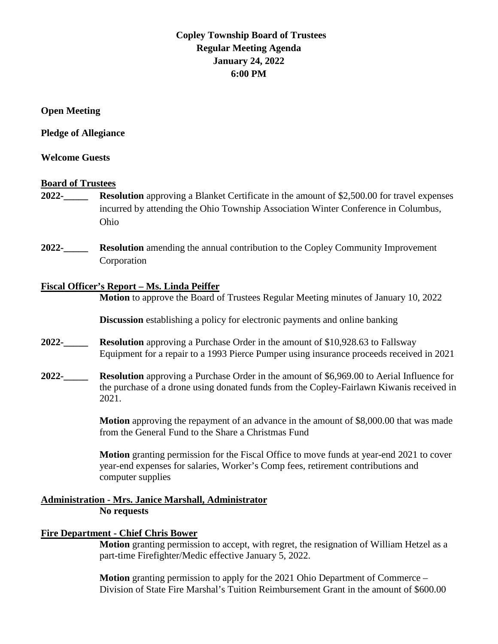# **Copley Township Board of Trustees Regular Meeting Agenda January 24, 2022 6:00 PM**

**Open Meeting**

**Pledge of Allegiance** 

# **Welcome Guests**

# **Board of Trustees**

- **2022-\_\_\_\_\_ Resolution** approving a Blanket Certificate in the amount of \$2,500.00 for travel expenses incurred by attending the Ohio Township Association Winter Conference in Columbus, Ohio
- **2022-\_\_\_\_\_ Resolution** amending the annual contribution to the Copley Community Improvement Corporation

# **Fiscal Officer's Report – Ms. Linda Peiffer**

**Motion** to approve the Board of Trustees Regular Meeting minutes of January 10, 2022

**Discussion** establishing a policy for electronic payments and online banking

- **2022-\_\_\_\_\_ Resolution** approving a Purchase Order in the amount of \$10,928.63 to Fallsway Equipment for a repair to a 1993 Pierce Pumper using insurance proceeds received in 2021
- **2022-\_\_\_\_\_ Resolution** approving a Purchase Order in the amount of \$6,969.00 to Aerial Influence for the purchase of a drone using donated funds from the Copley-Fairlawn Kiwanis received in 2021.

**Motion** approving the repayment of an advance in the amount of \$8,000.00 that was made from the General Fund to the Share a Christmas Fund

**Motion** granting permission for the Fiscal Office to move funds at year-end 2021 to cover year-end expenses for salaries, Worker's Comp fees, retirement contributions and computer supplies

# **Administration - Mrs. Janice Marshall, Administrator No requests**

# **Fire Department - Chief Chris Bower**

**Motion** granting permission to accept, with regret, the resignation of William Hetzel as a part-time Firefighter/Medic effective January 5, 2022.

**Motion** granting permission to apply for the 2021 Ohio Department of Commerce – Division of State Fire Marshal's Tuition Reimbursement Grant in the amount of \$600.00